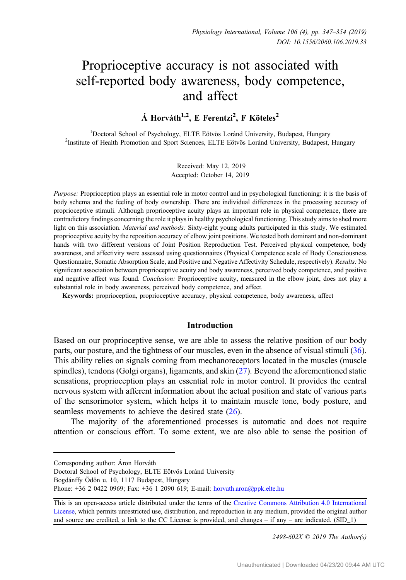# Proprioceptive accuracy is not associated with self-reported body awareness, body competence, and affect

 $\acute{\text{A}}$  Horváth<sup>1,2</sup>, E Ferentzi<sup>2</sup>, F Köteles<sup>2</sup>

<sup>1</sup>Doctoral School of Psychology, ELTE Eötvös Loránd University, Budapest, Hungary Doctoral School of Psychology, ELTE Eötvös Loránd University, Budapest, Hungary <sup>2</sup> Institute of Health Promotion and Sport Sciences, ELTE Eötvös Loránd University, Budapest, Hungary

> Received: May 12, 2019 Accepted: October 14, 2019

Purpose: Proprioception plays an essential role in motor control and in psychological functioning: it is the basis of body schema and the feeling of body ownership. There are individual differences in the processing accuracy of proprioceptive stimuli. Although proprioceptive acuity plays an important role in physical competence, there are contradictory findings concerning the role it plays in healthy psychological functioning. This study aims to shed more light on this association. *Material and methods:* Sixty-eight young adults participated in this study. We estimated proprioceptive acuity by the reposition accuracy of elbow joint positions. We tested both dominant and non-dominant hands with two different versions of Joint Position Reproduction Test. Perceived physical competence, body awareness, and affectivity were assessed using questionnaires (Physical Competence scale of Body Consciousness Questionnaire, Somatic Absorption Scale, and Positive and Negative Affectivity Schedule, respectively). Results: No significant association between proprioceptive acuity and body awareness, perceived body competence, and positive and negative affect was found. Conclusion: Proprioceptive acuity, measured in the elbow joint, does not play a substantial role in body awareness, perceived body competence, and affect.

Keywords: proprioception, proprioceptive accuracy, physical competence, body awareness, affect

# Introduction

Based on our proprioceptive sense, we are able to assess the relative position of our body parts, our posture, and the tightness of our muscles, even in the absence of visual stimuli [\(36](#page-7-0)). This ability relies on signals coming from mechanoreceptors located in the muscles (muscle spindles), tendons (Golgi organs), ligaments, and skin ([27\)](#page-7-0). Beyond the aforementioned static sensations, proprioception plays an essential role in motor control. It provides the central nervous system with afferent information about the actual position and state of various parts of the sensorimotor system, which helps it to maintain muscle tone, body posture, and seamless movements to achieve the desired state [\(26](#page-7-0)).

The majority of the aforementioned processes is automatic and does not require attention or conscious effort. To some extent, we are also able to sense the position of

2498-602X © 2019 The Author(s)

Corresponding author: Áron Horváth

Doctoral School of Psychology, ELTE Eötvös Loránd University

Bogdánffy Ödön u. 10, 1117 Budapest, Hungary

Phone: +36 2 0422 0969; Fax: +36 1 2090 619; E-mail: [horvath.aron@ppk.elte.hu](mailto:horvath.aron@ppk.elte.hu)

This is an open-access article distributed under the terms of the [Creative Commons Attribution 4.0 International](https://creativecommons.org/licenses/by/4.0/) [License,](https://creativecommons.org/licenses/by/4.0/) which permits unrestricted use, distribution, and reproduction in any medium, provided the original author and source are credited, a link to the CC License is provided, and changes – if any – are indicated. (SID  $\bar{1}$ )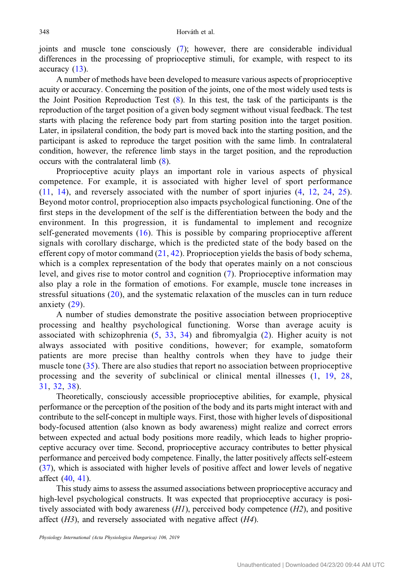joints and muscle tone consciously ([7\)](#page-6-0); however, there are considerable individual differences in the processing of proprioceptive stimuli, for example, with respect to its accuracy ([13\)](#page-6-0).

A number of methods have been developed to measure various aspects of proprioceptive acuity or accuracy. Concerning the position of the joints, one of the most widely used tests is the Joint Position Reproduction Test [\(8](#page-6-0)). In this test, the task of the participants is the reproduction of the target position of a given body segment without visual feedback. The test starts with placing the reference body part from starting position into the target position. Later, in ipsilateral condition, the body part is moved back into the starting position, and the participant is asked to reproduce the target position with the same limb. In contralateral condition, however, the reference limb stays in the target position, and the reproduction occurs with the contralateral limb ([8\)](#page-6-0).

Proprioceptive acuity plays an important role in various aspects of physical competence. For example, it is associated with higher level of sport performance [\(11,](#page-6-0) [14](#page-6-0)), and reversely associated with the number of sport injuries [\(4,](#page-6-0) [12](#page-6-0), [24,](#page-7-0) [25](#page-7-0)). Beyond motor control, proprioception also impacts psychological functioning. One of the first steps in the development of the self is the differentiation between the body and the environment. In this progression, it is fundamental to implement and recognize self-generated movements ([16](#page-7-0)). This is possible by comparing proprioceptive afferent signals with corollary discharge, which is the predicted state of the body based on the efferent copy of motor command  $(21, 42)$  $(21, 42)$  $(21, 42)$ . Proprioception yields the basis of body schema, which is a complex representation of the body that operates mainly on a not conscious level, and gives rise to motor control and cognition ([7](#page-6-0)). Proprioceptive information may also play a role in the formation of emotions. For example, muscle tone increases in stressful situations ([20](#page-7-0)), and the systematic relaxation of the muscles can in turn reduce anxiety [\(29\)](#page-7-0).

A number of studies demonstrate the positive association between proprioceptive processing and healthy psychological functioning. Worse than average acuity is associated with schizophrenia [\(5](#page-6-0), [33](#page-7-0), [34\)](#page-7-0) and fibromyalgia ([2\)](#page-6-0). Higher acuity is not always associated with positive conditions, however; for example, somatoform patients are more precise than healthy controls when they have to judge their muscle tone ([35](#page-7-0)). There are also studies that report no association between proprioceptive processing and the severity of subclinical or clinical mental illnesses ([1,](#page-6-0) [19,](#page-7-0) [28](#page-7-0), [31](#page-7-0), [32,](#page-7-0) [38](#page-7-0)).

Theoretically, consciously accessible proprioceptive abilities, for example, physical performance or the perception of the position of the body and its parts might interact with and contribute to the self-concept in multiple ways. First, those with higher levels of dispositional body-focused attention (also known as body awareness) might realize and correct errors between expected and actual body positions more readily, which leads to higher proprioceptive accuracy over time. Second, proprioceptive accuracy contributes to better physical performance and perceived body competence. Finally, the latter positively affects self-esteem [\(37](#page-7-0)), which is associated with higher levels of positive affect and lower levels of negative affect [\(40](#page-7-0), [41](#page-7-0)).

This study aims to assess the assumed associations between proprioceptive accuracy and high-level psychological constructs. It was expected that proprioceptive accuracy is positively associated with body awareness  $(H)$ , perceived body competence  $(H2)$ , and positive affect  $(H3)$ , and reversely associated with negative affect  $(H4)$ .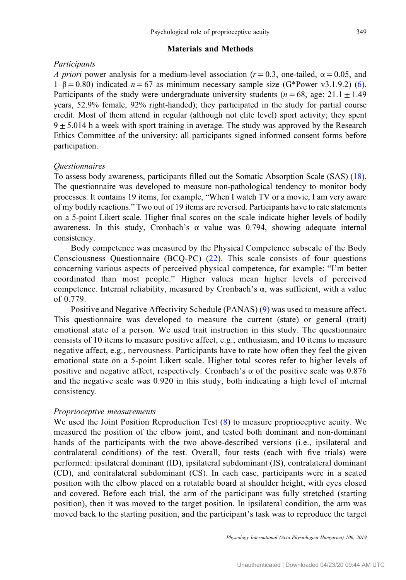## Materials and Methods

# **Participants**

A priori power analysis for a medium-level association ( $r = 0.3$ , one-tailed,  $\alpha = 0.05$ , and  $1-\beta = 0.80$ ) indicated  $n = 67$  as minimum necessary sample size (G\*Power v3.1.9.2) [\(6](#page-6-0)). Participants of the study were undergraduate university students ( $n = 68$ , age: 21.1  $\pm$  1.49 years, 52.9% female, 92% right-handed); they participated in the study for partial course credit. Most of them attend in regular (although not elite level) sport activity; they spent  $9 \pm 5.014$  h a week with sport training in average. The study was approved by the Research Ethics Committee of the university; all participants signed informed consent forms before participation.

# **Ouestionnaires**

To assess body awareness, participants filled out the Somatic Absorption Scale (SAS) [\(18](#page-7-0)). The questionnaire was developed to measure non-pathological tendency to monitor body processes. It contains 19 items, for example, "When I watch TV or a movie, I am very aware of my bodily reactions." Two out of 19 items are reversed. Participants have to rate statements on a 5-point Likert scale. Higher final scores on the scale indicate higher levels of bodily awareness. In this study, Cronbach's α value was 0.794, showing adequate internal consistency.

Body competence was measured by the Physical Competence subscale of the Body Consciousness Questionnaire (BCQ-PC) ([22](#page-7-0)). This scale consists of four questions concerning various aspects of perceived physical competence, for example: "I'm better coordinated than most people." Higher values mean higher levels of perceived competence. Internal reliability, measured by Cronbach's α, was sufficient, with a value of 0.779.

Positive and Negative Affectivity Schedule (PANAS) ([9](#page-6-0)) was used to measure affect. This questionnaire was developed to measure the current (state) or general (trait) emotional state of a person. We used trait instruction in this study. The questionnaire consists of 10 items to measure positive affect, e.g., enthusiasm, and 10 items to measure negative affect, e.g., nervousness. Participants have to rate how often they feel the given emotional state on a 5-point Likert scale. Higher total scores refer to higher levels of positive and negative affect, respectively. Cronbach's  $\alpha$  of the positive scale was 0.876 and the negative scale was 0.920 in this study, both indicating a high level of internal consistency.

## Proprioceptive measurements

We used the Joint Position Reproduction Test ([8\)](#page-6-0) to measure proprioceptive acuity. We measured the position of the elbow joint, and tested both dominant and non-dominant hands of the participants with the two above-described versions (i.e., ipsilateral and contralateral conditions) of the test. Overall, four tests (each with five trials) were performed: ipsilateral dominant (ID), ipsilateral subdominant (IS), contralateral dominant (CD), and contralateral subdominant (CS). In each case, participants were in a seated position with the elbow placed on a rotatable board at shoulder height, with eyes closed and covered. Before each trial, the arm of the participant was fully stretched (starting position), then it was moved to the target position. In ipsilateral condition, the arm was moved back to the starting position, and the participant's task was to reproduce the target

Physiology International (Acta Physiologica Hungarica) 106, 2019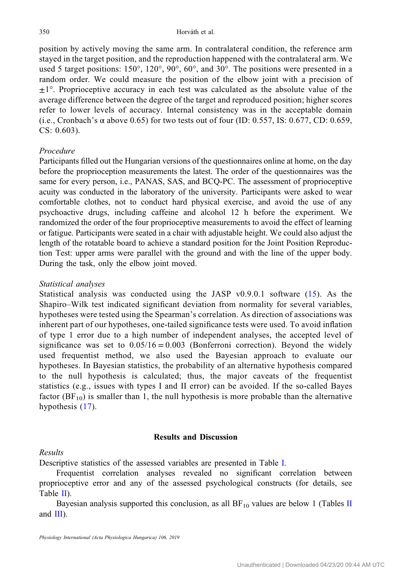position by actively moving the same arm. In contralateral condition, the reference arm stayed in the target position, and the reproduction happened with the contralateral arm. We used 5 target positions: 150°, 120°, 90°, 60°, and 30°. The positions were presented in a random order. We could measure the position of the elbow joint with a precision of  $\pm 1^{\circ}$ . Proprioceptive accuracy in each test was calculated as the absolute value of the average difference between the degree of the target and reproduced position; higher scores refer to lower levels of accuracy. Internal consistency was in the acceptable domain (i.e., Cronbach's  $\alpha$  above 0.65) for two tests out of four (ID: 0.557, IS: 0.677, CD: 0.659, CS: 0.603).

# Procedure

Participants filled out the Hungarian versions of the questionnaires online at home, on the day before the proprioception measurements the latest. The order of the questionnaires was the same for every person, i.e., PANAS, SAS, and BCQ-PC. The assessment of proprioceptive acuity was conducted in the laboratory of the university. Participants were asked to wear comfortable clothes, not to conduct hard physical exercise, and avoid the use of any psychoactive drugs, including caffeine and alcohol 12 h before the experiment. We randomized the order of the four proprioceptive measurements to avoid the effect of learning or fatigue. Participants were seated in a chair with adjustable height. We could also adjust the length of the rotatable board to achieve a standard position for the Joint Position Reproduction Test: upper arms were parallel with the ground and with the line of the upper body. During the task, only the elbow joint moved.

# Statistical analyses

Statistical analysis was conducted using the JASP v0.9.0.1 software ([15\)](#page-7-0). As the Shapiro–Wilk test indicated significant deviation from normality for several variables, hypotheses were tested using the Spearman's correlation. As direction of associations was inherent part of our hypotheses, one-tailed significance tests were used. To avoid inflation of type 1 error due to a high number of independent analyses, the accepted level of significance was set to  $0.05/16 = 0.003$  (Bonferroni correction). Beyond the widely used frequentist method, we also used the Bayesian approach to evaluate our hypotheses. In Bayesian statistics, the probability of an alternative hypothesis compared to the null hypothesis is calculated; thus, the major caveats of the frequentist statistics (e.g., issues with types I and II error) can be avoided. If the so-called Bayes factor  $(BF_{10})$  is smaller than 1, the null hypothesis is more probable than the alternative hypothesis  $(17)$ .

# Results and Discussion

# Results

Descriptive statistics of the assessed variables are presented in Table [I](#page-4-0).

Frequentist correlation analyses revealed no significant correlation between proprioceptive error and any of the assessed psychological constructs (for details, see Table [II](#page-4-0)).

Bayesian analysis supported this conclusion, as all  $BF_{10}$  values are below 1 (Tables [II](#page-4-0) and [III\)](#page-5-0).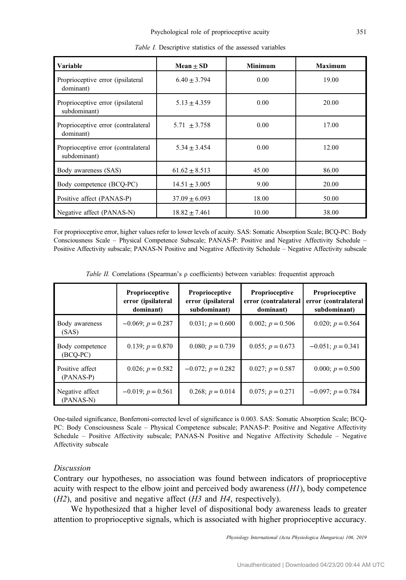<span id="page-4-0"></span>

| Variable                                            | Mean $\pm$ SD     | <b>Minimum</b> | <b>Maximum</b> |
|-----------------------------------------------------|-------------------|----------------|----------------|
| Proprioceptive error (ipsilateral<br>dominant)      | $6.40 + 3.794$    | 0.00           | 19.00          |
| Proprioceptive error (ipsilateral<br>subdominant)   | $5.13 \pm 4.359$  | 0.00           | 20.00          |
| Proprioceptive error (contralateral<br>dominant)    | $5.71 + 3.758$    | 0.00           | 17.00          |
| Proprioceptive error (contralateral<br>subdominant) | $5.34 + 3.454$    | 0.00           | 12.00          |
| Body awareness (SAS)                                | $61.62 \pm 8.513$ | 45.00          | 86.00          |
| Body competence (BCQ-PC)                            | $14.51 \pm 3.005$ | 9.00           | 20.00          |
| Positive affect (PANAS-P)                           | $37.09 \pm 6.093$ | 18.00          | 50.00          |
| Negative affect (PANAS-N)                           | $18.82 \pm 7.461$ | 10.00          | 38.00          |

Table I. Descriptive statistics of the assessed variables

For proprioceptive error, higher values refer to lower levels of acuity. SAS: Somatic Absorption Scale; BCQ-PC: Body Consciousness Scale – Physical Competence Subscale; PANAS-P: Positive and Negative Affectivity Schedule – Positive Affectivity subscale; PANAS-N Positive and Negative Affectivity Schedule – Negative Affectivity subscale

|                               | Proprioceptive<br>error (ipsilateral<br>dominant) | Proprioceptive<br>error (ipsilateral<br>subdominant) | Proprioceptive<br>error (contralateral<br>dominant) | Proprioceptive<br>error (contralateral<br>subdominant) |
|-------------------------------|---------------------------------------------------|------------------------------------------------------|-----------------------------------------------------|--------------------------------------------------------|
| Body awareness<br>(SAS)       | $-0.069; p = 0.287$                               | 0.031; $p = 0.600$                                   | 0.002; $p = 0.506$                                  | 0.020; $p = 0.564$                                     |
| Body competence<br>$(BCO-PC)$ | 0.139; $p = 0.870$                                | 0.080; $p = 0.739$                                   | 0.055; $p = 0.673$                                  | $-0.051; p = 0.341$                                    |
| Positive affect<br>(PANAS-P)  | 0.026; $p = 0.582$                                | $-0.072$ ; $p = 0.282$                               | 0.027; $p = 0.587$                                  | 0.000; $p = 0.500$                                     |
| Negative affect<br>(PANAS-N)  | $-0.019$ ; $p = 0.561$                            | 0.268; $p = 0.014$                                   | 0.075; $p = 0.271$                                  | $-0.097; p = 0.784$                                    |

Table II. Correlations (Spearman's  $\rho$  coefficients) between variables: frequentist approach

One-tailed significance, Bonferroni-corrected level of significance is 0.003. SAS: Somatic Absorption Scale; BCQ-PC: Body Consciousness Scale – Physical Competence subscale; PANAS-P: Positive and Negative Affectivity Schedule – Positive Affectivity subscale; PANAS-N Positive and Negative Affectivity Schedule – Negative Affectivity subscale

# Discussion

Contrary our hypotheses, no association was found between indicators of proprioceptive acuity with respect to the elbow joint and perceived body awareness  $(H1)$ , body competence  $(H2)$ , and positive and negative affect  $(H3 \text{ and } H4$ , respectively).

We hypothesized that a higher level of dispositional body awareness leads to greater attention to proprioceptive signals, which is associated with higher proprioceptive accuracy.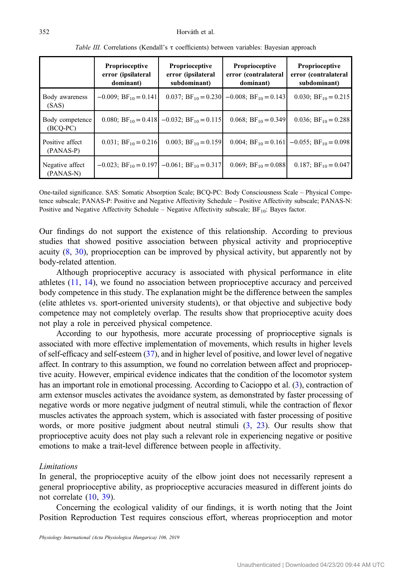<span id="page-5-0"></span>

|                               | <b>Proprioceptive</b><br>error (ipsilateral<br>dominant) | <b>Proprioceptive</b><br>error (ipsilateral<br>subdominant)            | <b>Proprioceptive</b><br>error (contralateral<br>dominant) | <b>Proprioceptive</b><br>error (contralateral<br>subdominant) |
|-------------------------------|----------------------------------------------------------|------------------------------------------------------------------------|------------------------------------------------------------|---------------------------------------------------------------|
| Body awareness<br>(SAS)       | $-0.009$ ; BF <sub>10</sub> = 0.141                      |                                                                        | 0.037; $BF_{10} = 0.230$ -0.008; $BF_{10} = 0.143$         | 0.030; $BF_{10} = 0.215$                                      |
| Body competence<br>$(BCO-PC)$ |                                                          | 0.080; BF <sub>10</sub> = 0.418 - 0.032; BF <sub>10</sub> = 0.115      | 0.068; $BF_{10} = 0.349$                                   | 0.036; $BF_{10} = 0.288$                                      |
| Positive affect<br>(PANAS-P)  | 0.031; $BF_{10} = 0.216$                                 | 0.003; $BF_{10} = 0.159$                                               | 0.004; $BF_{10} = 0.161$                                   | $-0.055$ ; BF <sub>10</sub> = 0.098                           |
| Negative affect<br>(PANAS-N)  |                                                          | $-0.023$ ; BF <sub>10</sub> = 0.197   -0.061; BF <sub>10</sub> = 0.317 | 0.069; $BF_{10} = 0.088$                                   | 0.187; $BF_{10} = 0.047$                                      |

Table III. Correlations (Kendall's τ coefficients) between variables: Bayesian approach

One-tailed significance. SAS: Somatic Absorption Scale; BCQ-PC: Body Consciousness Scale – Physical Competence subscale; PANAS-P: Positive and Negative Affectivity Schedule – Positive Affectivity subscale; PANAS-N: Positive and Negative Affectivity Schedule – Negative Affectivity subscale;  $BF_{10}$ : Bayes factor.

Our findings do not support the existence of this relationship. According to previous studies that showed positive association between physical activity and proprioceptive acuity ([8,](#page-6-0) [30\)](#page-7-0), proprioception can be improved by physical activity, but apparently not by body-related attention.

Although proprioceptive accuracy is associated with physical performance in elite athletes ([11,](#page-6-0) [14\)](#page-6-0), we found no association between proprioceptive accuracy and perceived body competence in this study. The explanation might be the difference between the samples (elite athletes vs. sport-oriented university students), or that objective and subjective body competence may not completely overlap. The results show that proprioceptive acuity does not play a role in perceived physical competence.

According to our hypothesis, more accurate processing of proprioceptive signals is associated with more effective implementation of movements, which results in higher levels of self-efficacy and self-esteem [\(37](#page-7-0)), and in higher level of positive, and lower level of negative affect. In contrary to this assumption, we found no correlation between affect and proprioceptive acuity. However, empirical evidence indicates that the condition of the locomotor system has an important role in emotional processing. According to Cacioppo et al. [\(3\)](#page-6-0), contraction of arm extensor muscles activates the avoidance system, as demonstrated by faster processing of negative words or more negative judgment of neutral stimuli, while the contraction of flexor muscles activates the approach system, which is associated with faster processing of positive words, or more positive judgment about neutral stimuli [\(3](#page-6-0), [23\)](#page-7-0). Our results show that proprioceptive acuity does not play such a relevant role in experiencing negative or positive emotions to make a trait-level difference between people in affectivity.

#### **Limitations**

In general, the proprioceptive acuity of the elbow joint does not necessarily represent a general proprioceptive ability, as proprioceptive accuracies measured in different joints do not correlate [\(10](#page-6-0), [39](#page-7-0)).

Concerning the ecological validity of our findings, it is worth noting that the Joint Position Reproduction Test requires conscious effort, whereas proprioception and motor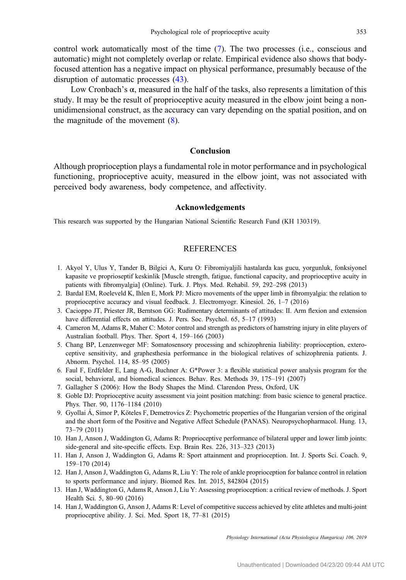<span id="page-6-0"></span>control work automatically most of the time (7). The two processes (i.e., conscious and automatic) might not completely overlap or relate. Empirical evidence also shows that bodyfocused attention has a negative impact on physical performance, presumably because of the disruption of automatic processes ([43\)](#page-7-0).

Low Cronbach's  $\alpha$ , measured in the half of the tasks, also represents a limitation of this study. It may be the result of proprioceptive acuity measured in the elbow joint being a nonunidimensional construct, as the accuracy can vary depending on the spatial position, and on the magnitude of the movement  $(8)$ .

# Conclusion

Although proprioception plays a fundamental role in motor performance and in psychological functioning, proprioceptive acuity, measured in the elbow joint, was not associated with perceived body awareness, body competence, and affectivity.

## Acknowledgements

This research was supported by the Hungarian National Scientific Research Fund (KH 130319).

#### REFERENCES

- 1. Akyol Y, Ulus Y, Tander B, Bilgici A, Kuru O: Fibromiyaljili hastalarda kas gucu, yorgunluk, fonksiyonel kapasite ve proprioseptif keskinlik [Muscle strength, fatigue, functional capacity, and proprioceptive acuity in patients with fibromyalgia] (Online). Turk. J. Phys. Med. Rehabil. 59, 292–298 (2013)
- 2. Bardal EM, Roeleveld K, Ihlen E, Mork PJ: Micro movements of the upper limb in fibromyalgia: the relation to proprioceptive accuracy and visual feedback. J. Electromyogr. Kinesiol. 26, 1–7 (2016)
- 3. Cacioppo JT, Priester JR, Berntson GG: Rudimentary determinants of attitudes: II. Arm flexion and extension have differential effects on attitudes. J. Pers. Soc. Psychol. 65, 5–17 (1993)
- 4. Cameron M, Adams R, Maher C: Motor control and strength as predictors of hamstring injury in elite players of Australian football. Phys. Ther. Sport 4, 159–166 (2003)
- 5. Chang BP, Lenzenweger MF: Somatosensory processing and schizophrenia liability: proprioception, exteroceptive sensitivity, and graphesthesia performance in the biological relatives of schizophrenia patients. J. Abnorm. Psychol. 114, 85–95 (2005)
- 6. Faul F, Erdfelder E, Lang A-G, Buchner A: G\*Power 3: a flexible statistical power analysis program for the social, behavioral, and biomedical sciences. Behav. Res. Methods 39, 175–191 (2007)
- 7. Gallagher S (2006): How the Body Shapes the Mind. Clarendon Press, Oxford, UK
- 8. Goble DJ: Proprioceptive acuity assessment via joint position matching: from basic science to general practice. Phys. Ther. 90, 1176–1184 (2010)
- 9. Gyollai Á, Simor P, Köteles F, Demetrovics Z: Psychometric properties of the Hungarian version of the original and the short form of the Positive and Negative Affect Schedule (PANAS). Neuropsychopharmacol. Hung. 13, 73–79 (2011)
- 10. Han J, Anson J, Waddington G, Adams R: Proprioceptive performance of bilateral upper and lower limb joints: side-general and site-specific effects. Exp. Brain Res. 226, 313–323 (2013)
- 11. Han J, Anson J, Waddington G, Adams R: Sport attainment and proprioception. Int. J. Sports Sci. Coach. 9, 159–170 (2014)
- 12. Han J, Anson J, Waddington G, Adams R, Liu Y: The role of ankle proprioception for balance control in relation to sports performance and injury. Biomed Res. Int. 2015, 842804 (2015)
- 13. Han J, Waddington G, Adams R, Anson J, Liu Y: Assessing proprioception: a critical review of methods. J. Sport Health Sci. 5, 80–90 (2016)
- 14. Han J, Waddington G, Anson J, Adams R: Level of competitive success achieved by elite athletes and multi-joint proprioceptive ability. J. Sci. Med. Sport 18, 77–81 (2015)

Physiology International (Acta Physiologica Hungarica) 106, 2019